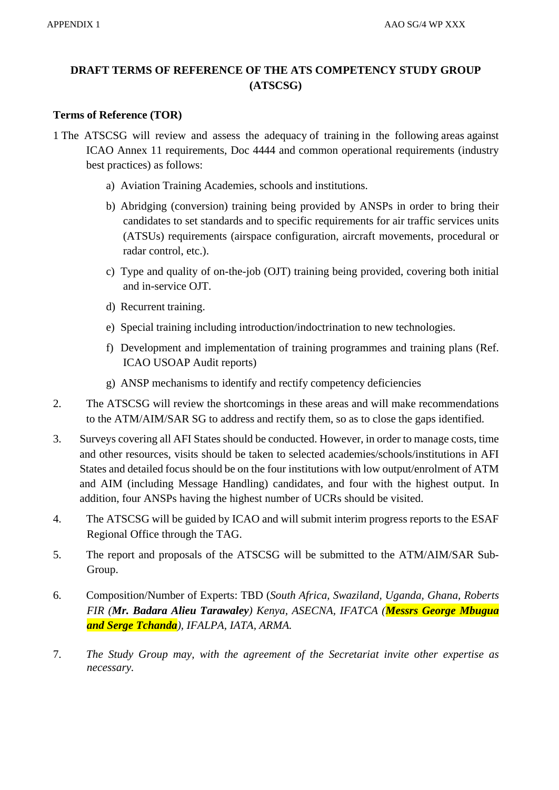## **DRAFT TERMS OF REFERENCE OF THE ATS COMPETENCY STUDY GROUP (ATSCSG)**

## **Terms of Reference (TOR)**

- 1 The ATSCSG will review and assess the adequacy of training in the following areas against ICAO Annex 11 requirements, Doc 4444 and common operational requirements (industry best practices) as follows:
	- a) Aviation Training Academies, schools and institutions.
	- b) Abridging (conversion) training being provided by ANSPs in order to bring their candidates to set standards and to specific requirements for air traffic services units (ATSUs) requirements (airspace configuration, aircraft movements, procedural or radar control, etc.).
	- c) Type and quality of on-the-job (OJT) training being provided, covering both initial and in-service OJT.
	- d) Recurrent training.
	- e) Special training including introduction/indoctrination to new technologies.
	- f) Development and implementation of training programmes and training plans (Ref. ICAO USOAP Audit reports)
	- g) ANSP mechanisms to identify and rectify competency deficiencies
- 2. The ATSCSG will review the shortcomings in these areas and will make recommendations to the ATM/AIM/SAR SG to address and rectify them, so as to close the gaps identified.
- 3. Surveys covering all AFI States should be conducted. However, in order to manage costs, time and other resources, visits should be taken to selected academies/schools/institutions in AFI States and detailed focus should be on the four institutions with low output/enrolment of ATM and AIM (including Message Handling) candidates, and four with the highest output. In addition, four ANSPs having the highest number of UCRs should be visited.
- 4. The ATSCSG will be guided by ICAO and will submit interim progress reports to the ESAF Regional Office through the TAG.
- 5. The report and proposals of the ATSCSG will be submitted to the ATM/AIM/SAR Sub-Group.
- 6. Composition/Number of Experts: TBD (*South Africa, Swaziland, Uganda, Ghana, Roberts FIR (Mr. Badara Alieu Tarawaley) Kenya, ASECNA, IFATCA (Messrs George Mbugua and Serge Tchanda), IFALPA, IATA, ARMA.*
- 7. *The Study Group may, with the agreement of the Secretariat invite other expertise as necessary.*